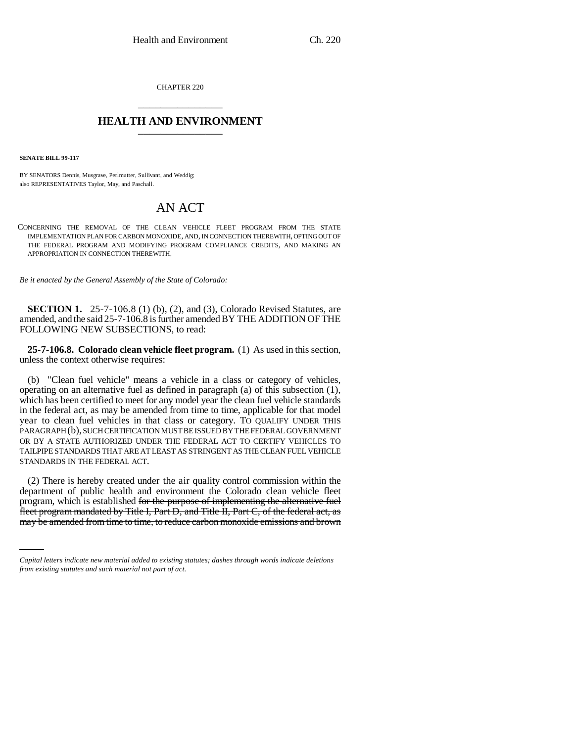CHAPTER 220 \_\_\_\_\_\_\_\_\_\_\_\_\_\_\_

## **HEALTH AND ENVIRONMENT** \_\_\_\_\_\_\_\_\_\_\_\_\_\_\_

**SENATE BILL 99-117** 

BY SENATORS Dennis, Musgrave, Perlmutter, Sullivant, and Weddig; also REPRESENTATIVES Taylor, May, and Paschall.

## AN ACT

CONCERNING THE REMOVAL OF THE CLEAN VEHICLE FLEET PROGRAM FROM THE STATE IMPLEMENTATION PLAN FOR CARBON MONOXIDE, AND, IN CONNECTION THEREWITH, OPTING OUT OF THE FEDERAL PROGRAM AND MODIFYING PROGRAM COMPLIANCE CREDITS, AND MAKING AN APPROPRIATION IN CONNECTION THEREWITH.

*Be it enacted by the General Assembly of the State of Colorado:*

**SECTION 1.** 25-7-106.8 (1) (b), (2), and (3), Colorado Revised Statutes, are amended, and the said 25-7-106.8 is further amended BY THE ADDITION OF THE FOLLOWING NEW SUBSECTIONS, to read:

**25-7-106.8. Colorado clean vehicle fleet program.** (1) As used in this section, unless the context otherwise requires:

(b) "Clean fuel vehicle" means a vehicle in a class or category of vehicles, operating on an alternative fuel as defined in paragraph (a) of this subsection (1), which has been certified to meet for any model year the clean fuel vehicle standards in the federal act, as may be amended from time to time, applicable for that model year to clean fuel vehicles in that class or category. TO QUALIFY UNDER THIS PARAGRAPH (b), SUCH CERTIFICATION MUST BE ISSUED BY THE FEDERAL GOVERNMENT OR BY A STATE AUTHORIZED UNDER THE FEDERAL ACT TO CERTIFY VEHICLES TO TAILPIPE STANDARDS THAT ARE AT LEAST AS STRINGENT AS THE CLEAN FUEL VEHICLE STANDARDS IN THE FEDERAL ACT.

program, which is established <del>for the purpose of implementing the alternative fuel</del> (2) There is hereby created under the air quality control commission within the department of public health and environment the Colorado clean vehicle fleet fleet program mandated by Title I, Part D, and Title II, Part C, of the federal act, as may be amended from time to time, to reduce carbon monoxide emissions and brown

*Capital letters indicate new material added to existing statutes; dashes through words indicate deletions from existing statutes and such material not part of act.*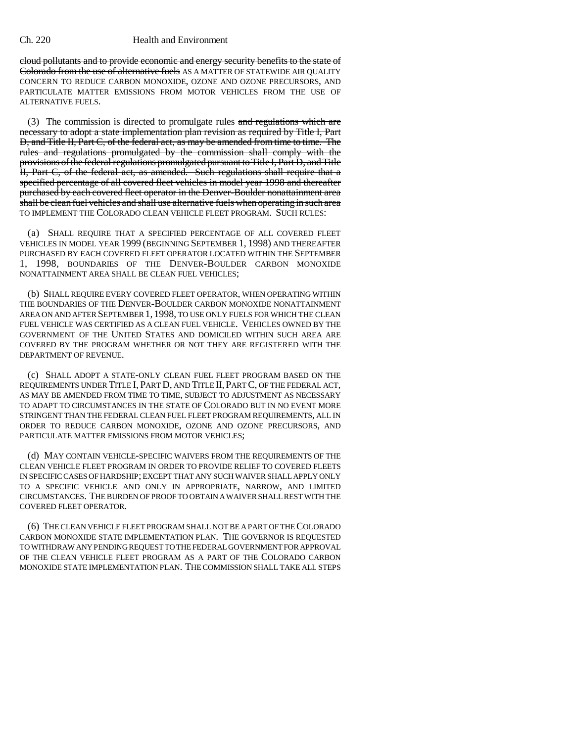## Ch. 220 Health and Environment

cloud pollutants and to provide economic and energy security benefits to the state of Colorado from the use of alternative fuels AS A MATTER OF STATEWIDE AIR QUALITY CONCERN TO REDUCE CARBON MONOXIDE, OZONE AND OZONE PRECURSORS, AND PARTICULATE MATTER EMISSIONS FROM MOTOR VEHICLES FROM THE USE OF ALTERNATIVE FUELS.

(3) The commission is directed to promulgate rules and regulations which are necessary to adopt a state implementation plan revision as required by Title I, Part D, and Title II, Part C, of the federal act, as may be amended from time to time. The rules and regulations promulgated by the commission shall comply with the provisions of the federal regulations promulgated pursuant to Title I, Part D, and Title II, Part C, of the federal act, as amended. Such regulations shall require that a specified percentage of all covered fleet vehicles in model year 1998 and thereafter purchased by each covered fleet operator in the Denver-Boulder nonattainment area shall be clean fuel vehicles and shall use alternative fuels when operating in such area TO IMPLEMENT THE COLORADO CLEAN VEHICLE FLEET PROGRAM. SUCH RULES:

(a) SHALL REQUIRE THAT A SPECIFIED PERCENTAGE OF ALL COVERED FLEET VEHICLES IN MODEL YEAR 1999 (BEGINNING SEPTEMBER 1, 1998) AND THEREAFTER PURCHASED BY EACH COVERED FLEET OPERATOR LOCATED WITHIN THE SEPTEMBER 1, 1998, BOUNDARIES OF THE DENVER-BOULDER CARBON MONOXIDE NONATTAINMENT AREA SHALL BE CLEAN FUEL VEHICLES;

(b) SHALL REQUIRE EVERY COVERED FLEET OPERATOR, WHEN OPERATING WITHIN THE BOUNDARIES OF THE DENVER-BOULDER CARBON MONOXIDE NONATTAINMENT AREA ON AND AFTER SEPTEMBER 1, 1998, TO USE ONLY FUELS FOR WHICH THE CLEAN FUEL VEHICLE WAS CERTIFIED AS A CLEAN FUEL VEHICLE. VEHICLES OWNED BY THE GOVERNMENT OF THE UNITED STATES AND DOMICILED WITHIN SUCH AREA ARE COVERED BY THE PROGRAM WHETHER OR NOT THEY ARE REGISTERED WITH THE DEPARTMENT OF REVENUE.

(c) SHALL ADOPT A STATE-ONLY CLEAN FUEL FLEET PROGRAM BASED ON THE REQUIREMENTS UNDER TITLE I, PART D, AND TITLE II,PART C, OF THE FEDERAL ACT, AS MAY BE AMENDED FROM TIME TO TIME, SUBJECT TO ADJUSTMENT AS NECESSARY TO ADAPT TO CIRCUMSTANCES IN THE STATE OF COLORADO BUT IN NO EVENT MORE STRINGENT THAN THE FEDERAL CLEAN FUEL FLEET PROGRAM REQUIREMENTS, ALL IN ORDER TO REDUCE CARBON MONOXIDE, OZONE AND OZONE PRECURSORS, AND PARTICULATE MATTER EMISSIONS FROM MOTOR VEHICLES;

(d) MAY CONTAIN VEHICLE-SPECIFIC WAIVERS FROM THE REQUIREMENTS OF THE CLEAN VEHICLE FLEET PROGRAM IN ORDER TO PROVIDE RELIEF TO COVERED FLEETS IN SPECIFIC CASES OF HARDSHIP; EXCEPT THAT ANY SUCH WAIVER SHALL APPLY ONLY TO A SPECIFIC VEHICLE AND ONLY IN APPROPRIATE, NARROW, AND LIMITED CIRCUMSTANCES. THE BURDEN OF PROOF TO OBTAIN A WAIVER SHALL REST WITH THE COVERED FLEET OPERATOR.

(6) THE CLEAN VEHICLE FLEET PROGRAM SHALL NOT BE A PART OF THE COLORADO CARBON MONOXIDE STATE IMPLEMENTATION PLAN. THE GOVERNOR IS REQUESTED TO WITHDRAW ANY PENDING REQUEST TO THE FEDERAL GOVERNMENT FOR APPROVAL OF THE CLEAN VEHICLE FLEET PROGRAM AS A PART OF THE COLORADO CARBON MONOXIDE STATE IMPLEMENTATION PLAN. THE COMMISSION SHALL TAKE ALL STEPS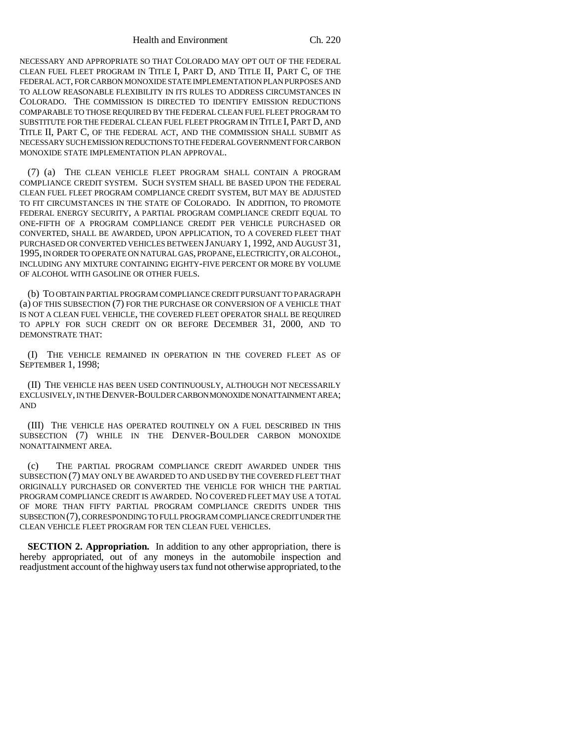Health and Environment Ch. 220

NECESSARY AND APPROPRIATE SO THAT COLORADO MAY OPT OUT OF THE FEDERAL CLEAN FUEL FLEET PROGRAM IN TITLE I, PART D, AND TITLE II, PART C, OF THE FEDERAL ACT, FOR CARBON MONOXIDE STATE IMPLEMENTATION PLAN PURPOSES AND TO ALLOW REASONABLE FLEXIBILITY IN ITS RULES TO ADDRESS CIRCUMSTANCES IN COLORADO. THE COMMISSION IS DIRECTED TO IDENTIFY EMISSION REDUCTIONS COMPARABLE TO THOSE REQUIRED BY THE FEDERAL CLEAN FUEL FLEET PROGRAM TO SUBSTITUTE FOR THE FEDERAL CLEAN FUEL FLEET PROGRAM IN TITLE I, PART D, AND TITLE II, PART C, OF THE FEDERAL ACT, AND THE COMMISSION SHALL SUBMIT AS NECESSARY SUCH EMISSION REDUCTIONS TO THE FEDERAL GOVERNMENT FOR CARBON MONOXIDE STATE IMPLEMENTATION PLAN APPROVAL.

(7) (a) THE CLEAN VEHICLE FLEET PROGRAM SHALL CONTAIN A PROGRAM COMPLIANCE CREDIT SYSTEM. SUCH SYSTEM SHALL BE BASED UPON THE FEDERAL CLEAN FUEL FLEET PROGRAM COMPLIANCE CREDIT SYSTEM, BUT MAY BE ADJUSTED TO FIT CIRCUMSTANCES IN THE STATE OF COLORADO. IN ADDITION, TO PROMOTE FEDERAL ENERGY SECURITY, A PARTIAL PROGRAM COMPLIANCE CREDIT EQUAL TO ONE-FIFTH OF A PROGRAM COMPLIANCE CREDIT PER VEHICLE PURCHASED OR CONVERTED, SHALL BE AWARDED, UPON APPLICATION, TO A COVERED FLEET THAT PURCHASED OR CONVERTED VEHICLES BETWEEN JANUARY 1, 1992, AND AUGUST 31, 1995, IN ORDER TO OPERATE ON NATURAL GAS, PROPANE, ELECTRICITY, OR ALCOHOL, INCLUDING ANY MIXTURE CONTAINING EIGHTY-FIVE PERCENT OR MORE BY VOLUME OF ALCOHOL WITH GASOLINE OR OTHER FUELS.

(b) TO OBTAIN PARTIAL PROGRAM COMPLIANCE CREDIT PURSUANT TO PARAGRAPH (a) OF THIS SUBSECTION (7) FOR THE PURCHASE OR CONVERSION OF A VEHICLE THAT IS NOT A CLEAN FUEL VEHICLE, THE COVERED FLEET OPERATOR SHALL BE REQUIRED TO APPLY FOR SUCH CREDIT ON OR BEFORE DECEMBER 31, 2000, AND TO DEMONSTRATE THAT:

(I) THE VEHICLE REMAINED IN OPERATION IN THE COVERED FLEET AS OF SEPTEMBER 1, 1998;

(II) THE VEHICLE HAS BEEN USED CONTINUOUSLY, ALTHOUGH NOT NECESSARILY EXCLUSIVELY, IN THE DENVER-BOULDER CARBON MONOXIDE NONATTAINMENT AREA; AND

(III) THE VEHICLE HAS OPERATED ROUTINELY ON A FUEL DESCRIBED IN THIS SUBSECTION (7) WHILE IN THE DENVER-BOULDER CARBON MONOXIDE NONATTAINMENT AREA.

(c) THE PARTIAL PROGRAM COMPLIANCE CREDIT AWARDED UNDER THIS SUBSECTION (7) MAY ONLY BE AWARDED TO AND USED BY THE COVERED FLEET THAT ORIGINALLY PURCHASED OR CONVERTED THE VEHICLE FOR WHICH THE PARTIAL PROGRAM COMPLIANCE CREDIT IS AWARDED. NO COVERED FLEET MAY USE A TOTAL OF MORE THAN FIFTY PARTIAL PROGRAM COMPLIANCE CREDITS UNDER THIS SUBSECTION (7), CORRESPONDING TO FULL PROGRAM COMPLIANCE CREDIT UNDER THE CLEAN VEHICLE FLEET PROGRAM FOR TEN CLEAN FUEL VEHICLES.

**SECTION 2. Appropriation.** In addition to any other appropriation, there is hereby appropriated, out of any moneys in the automobile inspection and readjustment account of the highway users tax fund not otherwise appropriated, to the